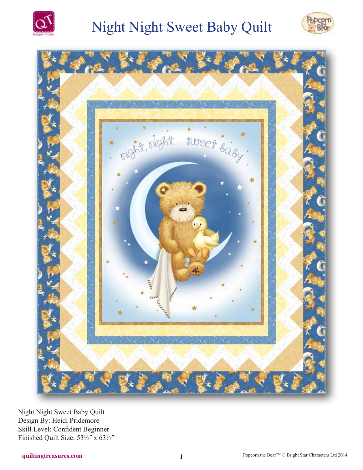

# **Night Night Sweet Baby Quilt**





Night Night Sweet Baby Quilt Design By: Heidi Pridemore Skill Level: Confident Beginner Finished Quilt Size: 531/2" x 631/2"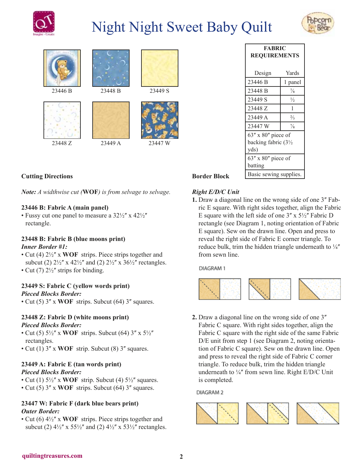

# Night Night Sweet Baby Quilt













## **Cutting Directions**

*Note: A widthwise cut (***WOF***) is from selvage to selvage.*

#### **23446 B: Fabric A (main panel)**

• Fussy cut one panel to measure a  $32\frac{1}{2}$ " x  $42\frac{1}{2}$ " rectangle.

#### **23448 B: Fabric B (blue moons print)** *Inner Border #1:*

• Cut (4)  $2\frac{1}{2}$ " x **WOF** strips. Piece strips together and subcut (2)  $2\frac{1}{2}$ " x  $42\frac{1}{2}$ " and (2)  $2\frac{1}{2}$ " x  $36\frac{1}{2}$ " rectangles. • Cut (7)  $2\frac{1}{2}$ " strips for binding.

## **23449 S: Fabric C (yellow words print)**

#### *Pieced Blocks Border:*

• Cut (5) 3" x **WOF** strips. Subcut (64) 3" squares.

#### **23448 Z: Fabric D (white moons print)**

#### *Pieced Blocks Border:*

- Cut (5)  $5\frac{1}{2}$ " x WOF strips. Subcut (64)  $3$ " x  $5\frac{1}{2}$ " rectangles.
- Cut (1) 3" x **WOF** strip. Subcut (8) 3" squares.

## **23449 A: Fabric E (tan words print)**

#### *Pieced Blocks Border:*

- Cut (1)  $5\frac{1}{2}$ <sup>"</sup> x **WOF** strip. Subcut (4)  $5\frac{1}{2}$ " squares.
- Cut (5) 3" x **WOF** strips. Subcut (64) 3" squares.

#### **23447 W: Fabric F (dark blue bears print)** *Outer Border:*

• Cut (6)  $4\frac{1}{2}$ " x **WOF** strips. Piece strips together and subcut (2)  $4\frac{1}{2}$ " x 55 $\frac{1}{2}$ " and (2)  $4\frac{1}{2}$ " x 53 $\frac{1}{2}$ " rectangles.

| <b>FABRIC</b><br><b>REQUIREMENTS</b> |               |
|--------------------------------------|---------------|
| Design                               | Yards         |
| 23446 B                              | 1 panel       |
| 23448 B                              | $\frac{7}{8}$ |
| 23449 S                              | $\frac{1}{2}$ |
| 23448 Z                              | 1             |
| 23449 A                              | $\frac{2}{3}$ |
| 23447 W                              | $\frac{7}{8}$ |
| $63''$ x $80''$ piece of             |               |
| backing fabric $(3\frac{1}{2})$      |               |
| yds)                                 |               |
| $63''$ x $80''$ piece of<br>batting  |               |
| Basic sewing supplies.               |               |

## **Border Block**

## *Right E/D/C Unit*

**1.** Draw a diagonal line on the wrong side of one 3<sup>*n*</sup> Fabric E square. With right sides together, align the Fabric E square with the left side of one  $3'' \times 5\frac{1}{2}''$  Fabric D rectangle (see Diagram 1, noting orientation of Fabric E square). Sew on the drawn line. Open and press to reveal the right side of Fabric E corner triangle. To reduce bulk, trim the hidden triangle underneath to  $\frac{1}{4}$ from sewn line.

DIAGRAM 1



**2.** Draw a diagonal line on the wrong side of one 3<sup>*"*</sup> Fabric C square. With right sides together, align the Fabric C square with the right side of the same Fabric D/E unit from step 1 (see Diagram 2, noting orientation of Fabric C square). Sew on the drawn line. Open and press to reveal the right side of Fabric C corner triangle. To reduce bulk, trim the hidden triangle underneath to  $\frac{1}{4}$ " from sewn line. Right E/D/C Unit is completed.

DIAGRAM<sub>2</sub>

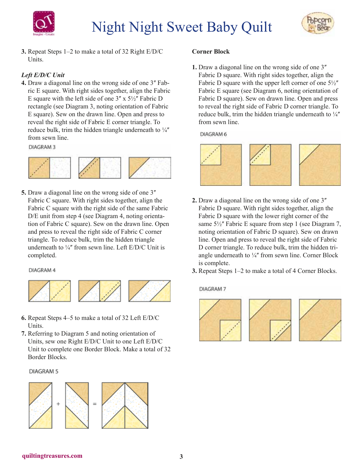



**3.** Repeat Steps 1–2 to make a total of 32 Right E/D/C Units.

## *Left E/D/C Unit*

**4.** Draw a diagonal line on the wrong side of one 3<sup>*''*</sup> Fabric E square. With right sides together, align the Fabric E square with the left side of one  $3'' \times 5\frac{1}{2}$  Fabric D rectangle (see Diagram 3, noting orientation of Fabric E square). Sew on the drawn line. Open and press to reveal the right side of Fabric E corner triangle. To reduce bulk, trim the hidden triangle underneath to  $\frac{1}{4}$ from sewn line.

**DIAGRAM3** 



**5.** Draw a diagonal line on the wrong side of one 3<sup>*''*</sup> Fabric C square. With right sides together, align the Fabric C square with the right side of the same Fabric D/E unit from step 4 (see Diagram 4, noting orientation of Fabric C square). Sew on the drawn line. Open and press to reveal the right side of Fabric C corner triangle. To reduce bulk, trim the hidden triangle underneath to  $\frac{1}{4}$ " from sewn line. Left E/D/C Unit is completed.

DIAGRAM 4



- **6.** Repeat Steps 4–5 to make a total of 32 Left E/D/C Units.
- **7.** Referring to Diagram 5 and noting orientation of Units, sew one Right E/D/C Unit to one Left E/D/C Unit to complete one Border Block. Make a total of 32 Border Blocks.

#### **DIAGRAM 5**



#### **Corner Block**

**1.** Draw a diagonal line on the wrong side of one 3<sup>*''*</sup> Fabric D square. With right sides together, align the Fabric D square with the upper left corner of one  $5\frac{1}{2}$ " Fabric E square (see Diagram 6, noting orientation of Fabric D square). Sew on drawn line. Open and press to reveal the right side of Fabric D corner triangle. To reduce bulk, trim the hidden triangle underneath to  $\frac{1}{4}$ from sewn line.

DIAGRAM 6



- **2.** Draw a diagonal line on the wrong side of one 3<sup>*''*</sup> Fabric D square. With right sides together, align the Fabric D square with the lower right corner of the same  $5\frac{1}{2}$ " Fabric E square from step 1 (see Diagram 7, noting orientation of Fabric D square). Sew on drawn line. Open and press to reveal the right side of Fabric D corner triangle. To reduce bulk, trim the hidden triangle underneath to  $\frac{1}{4}$  from sewn line. Corner Block is complete.
- **3.** Repeat Steps 1–2 to make a total of 4 Corner Blocks.

DIAGRAM 7